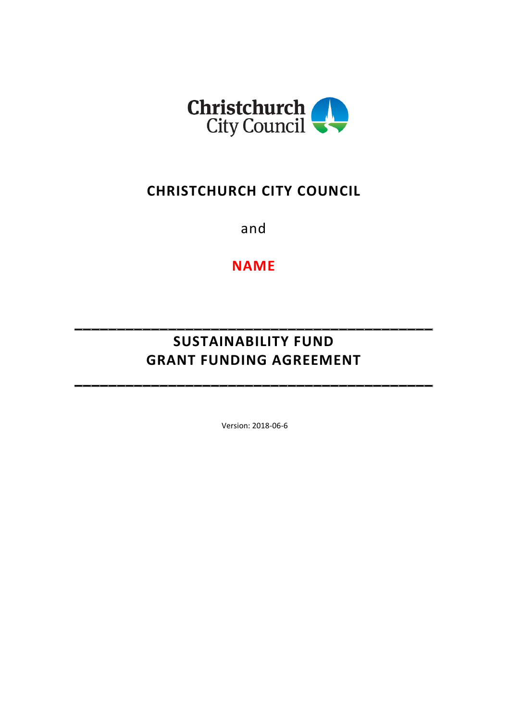

# CHRISTCHURCH CITY COUNCIL

and

NAME

# SUSTAINABILITY FUND GRANT FUNDING AGREEMENT

\_\_\_\_\_\_\_\_\_\_\_\_\_\_\_\_\_\_\_\_\_\_\_\_\_\_\_\_\_\_\_\_\_\_\_\_\_\_\_\_\_\_

\_\_\_\_\_\_\_\_\_\_\_\_\_\_\_\_\_\_\_\_\_\_\_\_\_\_\_\_\_\_\_\_\_\_\_\_\_\_\_\_\_\_

Version: 2018-06-6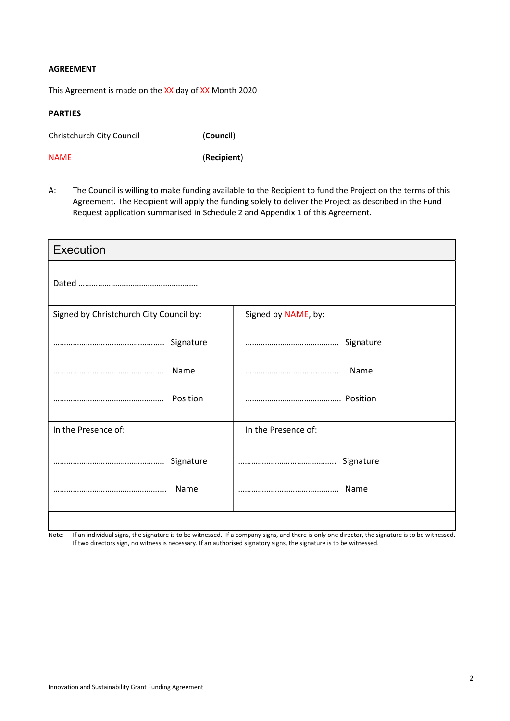#### AGREEMENT

This Agreement is made on the XX day of XX Month 2020

#### PARTIES

Christchurch City Council (Council)

NAME (Recipient)

A: The Council is willing to make funding available to the Recipient to fund the Project on the terms of this Agreement. The Recipient will apply the funding solely to deliver the Project as described in the Fund Request application summarised in Schedule 2 and Appendix 1 of this Agreement.

| Execution                               |                     |  |  |
|-----------------------------------------|---------------------|--|--|
|                                         |                     |  |  |
| Signed by Christchurch City Council by: | Signed by NAME, by: |  |  |
|                                         |                     |  |  |
| Name                                    |                     |  |  |
|                                         |                     |  |  |
| In the Presence of:                     | In the Presence of: |  |  |
|                                         |                     |  |  |
| Name                                    | Name                |  |  |
|                                         |                     |  |  |

Note: If an individual signs, the signature is to be witnessed. If a company signs, and there is only one director, the signature is to be witnessed. If two directors sign, no witness is necessary. If an authorised signatory signs, the signature is to be witnessed.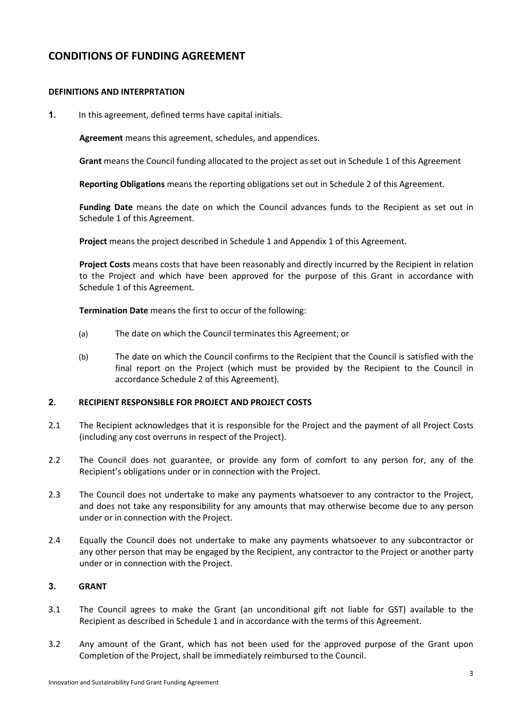## CONDITIONS OF FUNDING AGREEMENT

#### DEFINITIONS AND INTERPRTATION

1. In this agreement, defined terms have capital initials.

Agreement means this agreement, schedules, and appendices.

Grant means the Council funding allocated to the project as set out in Schedule 1 of this Agreement

Reporting Obligations means the reporting obligations set out in Schedule 2 of this Agreement.

Funding Date means the date on which the Council advances funds to the Recipient as set out in Schedule 1 of this Agreement.

Project means the project described in Schedule 1 and Appendix 1 of this Agreement.

Project Costs means costs that have been reasonably and directly incurred by the Recipient in relation to the Project and which have been approved for the purpose of this Grant in accordance with Schedule 1 of this Agreement.

Termination Date means the first to occur of the following:

- (a) The date on which the Council terminates this Agreement; or
- (b) The date on which the Council confirms to the Recipient that the Council is satisfied with the final report on the Project (which must be provided by the Recipient to the Council in accordance Schedule 2 of this Agreement).

#### 2. RECIPIENT RESPONSIBLE FOR PROJECT AND PROJECT COSTS

- 2.1 The Recipient acknowledges that it is responsible for the Project and the payment of all Project Costs (including any cost overruns in respect of the Project).
- 2.2 The Council does not guarantee, or provide any form of comfort to any person for, any of the Recipient's obligations under or in connection with the Project.
- 2.3 The Council does not undertake to make any payments whatsoever to any contractor to the Project, and does not take any responsibility for any amounts that may otherwise become due to any person under or in connection with the Project.
- 2.4 Equally the Council does not undertake to make any payments whatsoever to any subcontractor or any other person that may be engaged by the Recipient, any contractor to the Project or another party under or in connection with the Project.

## 3. GRANT

- 3.1 The Council agrees to make the Grant (an unconditional gift not liable for GST) available to the Recipient as described in Schedule 1 and in accordance with the terms of this Agreement.
- 3.2 Any amount of the Grant, which has not been used for the approved purpose of the Grant upon Completion of the Project, shall be immediately reimbursed to the Council.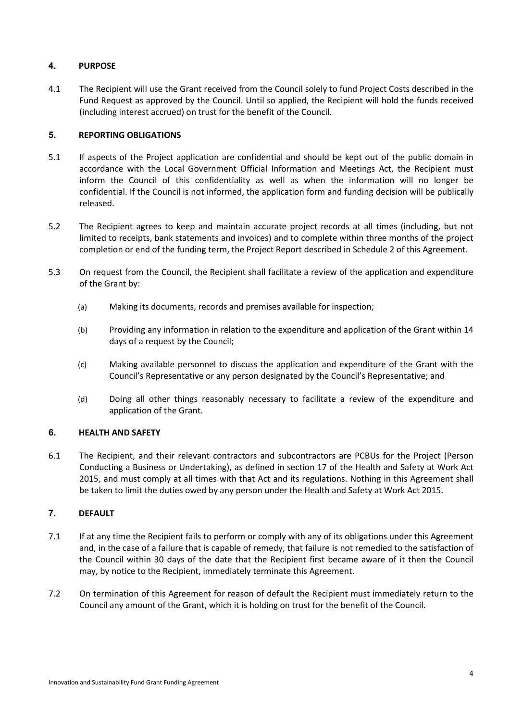## 4. PURPOSE

4.1 The Recipient will use the Grant received from the Council solely to fund Project Costs described in the Fund Request as approved by the Council. Until so applied, the Recipient will hold the funds received (including interest accrued) on trust for the benefit of the Council.

### 5. REPORTING OBLIGATIONS

- 5.1 If aspects of the Project application are confidential and should be kept out of the public domain in accordance with the Local Government Official Information and Meetings Act, the Recipient must inform the Council of this confidentiality as well as when the information will no longer be confidential. If the Council is not informed, the application form and funding decision will be publically released.
- 5.2 The Recipient agrees to keep and maintain accurate project records at all times (including, but not limited to receipts, bank statements and invoices) and to complete within three months of the project completion or end of the funding term, the Project Report described in Schedule 2 of this Agreement.
- 5.3 On request from the Council, the Recipient shall facilitate a review of the application and expenditure of the Grant by:
	- (a) Making its documents, records and premises available for inspection;
	- (b) Providing any information in relation to the expenditure and application of the Grant within 14 days of a request by the Council;
	- (c) Making available personnel to discuss the application and expenditure of the Grant with the Council's Representative or any person designated by the Council's Representative; and
	- (d) Doing all other things reasonably necessary to facilitate a review of the expenditure and application of the Grant.

#### 6. HEALTH AND SAFETY

6.1 The Recipient, and their relevant contractors and subcontractors are PCBUs for the Project (Person Conducting a Business or Undertaking), as defined in section 17 of the Health and Safety at Work Act 2015, and must comply at all times with that Act and its regulations. Nothing in this Agreement shall be taken to limit the duties owed by any person under the Health and Safety at Work Act 2015.

#### 7. DEFAULT

- 7.1 If at any time the Recipient fails to perform or comply with any of its obligations under this Agreement and, in the case of a failure that is capable of remedy, that failure is not remedied to the satisfaction of the Council within 30 days of the date that the Recipient first became aware of it then the Council may, by notice to the Recipient, immediately terminate this Agreement.
- 7.2 On termination of this Agreement for reason of default the Recipient must immediately return to the Council any amount of the Grant, which it is holding on trust for the benefit of the Council.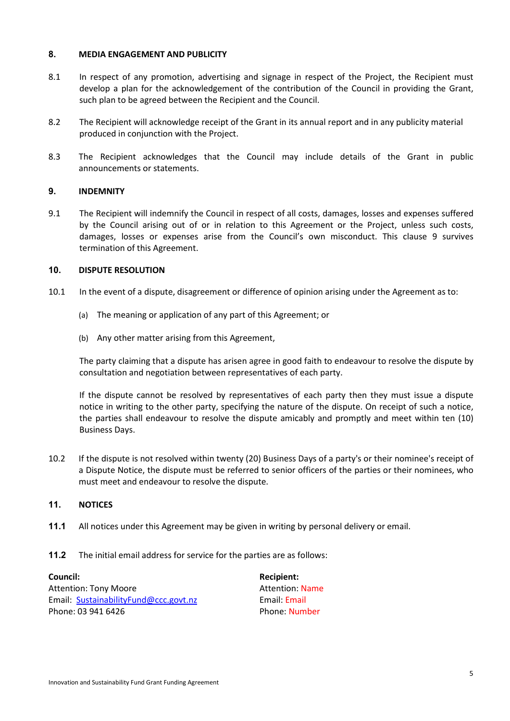#### 8. MEDIA ENGAGEMENT AND PUBLICITY

- 8.1 In respect of any promotion, advertising and signage in respect of the Project, the Recipient must develop a plan for the acknowledgement of the contribution of the Council in providing the Grant, such plan to be agreed between the Recipient and the Council.
- 8.2 The Recipient will acknowledge receipt of the Grant in its annual report and in any publicity material produced in conjunction with the Project.
- 8.3 The Recipient acknowledges that the Council may include details of the Grant in public announcements or statements.

### 9. INDEMNITY

9.1 The Recipient will indemnify the Council in respect of all costs, damages, losses and expenses suffered by the Council arising out of or in relation to this Agreement or the Project, unless such costs, damages, losses or expenses arise from the Council's own misconduct. This clause 9 survives termination of this Agreement.

#### 10. DISPUTE RESOLUTION

- 10.1 In the event of a dispute, disagreement or difference of opinion arising under the Agreement as to:
	- (a) The meaning or application of any part of this Agreement; or
	- (b) Any other matter arising from this Agreement,

 The party claiming that a dispute has arisen agree in good faith to endeavour to resolve the dispute by consultation and negotiation between representatives of each party.

 If the dispute cannot be resolved by representatives of each party then they must issue a dispute notice in writing to the other party, specifying the nature of the dispute. On receipt of such a notice, the parties shall endeavour to resolve the dispute amicably and promptly and meet within ten (10) Business Days.

10.2 If the dispute is not resolved within twenty (20) Business Days of a party's or their nominee's receipt of a Dispute Notice, the dispute must be referred to senior officers of the parties or their nominees, who must meet and endeavour to resolve the dispute.

#### 11. NOTICES

- 11.1 All notices under this Agreement may be given in writing by personal delivery or email.
- 11.2 The initial email address for service for the parties are as follows:

Council: Attention: Tony Moore Email: SustainabilityFund@ccc.govt.nz Phone: 03 941 6426

Recipient: Attention: Name Email: Email Phone: Number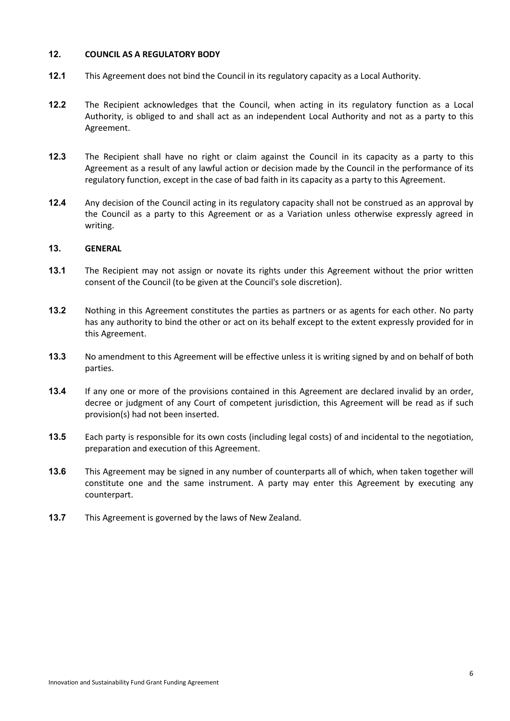#### 12 COUNCIL AS A REGULATORY BODY

- 12.1 This Agreement does not bind the Council in its regulatory capacity as a Local Authority.
- 12.2 The Recipient acknowledges that the Council, when acting in its regulatory function as a Local Authority, is obliged to and shall act as an independent Local Authority and not as a party to this Agreement.
- 12.3 The Recipient shall have no right or claim against the Council in its capacity as a party to this Agreement as a result of any lawful action or decision made by the Council in the performance of its regulatory function, except in the case of bad faith in its capacity as a party to this Agreement.
- 12.4 Any decision of the Council acting in its regulatory capacity shall not be construed as an approval by the Council as a party to this Agreement or as a Variation unless otherwise expressly agreed in writing.

#### 13. GENERAL

- 13.1 The Recipient may not assign or novate its rights under this Agreement without the prior written consent of the Council (to be given at the Council's sole discretion).
- 13.2 Nothing in this Agreement constitutes the parties as partners or as agents for each other. No party has any authority to bind the other or act on its behalf except to the extent expressly provided for in this Agreement.
- 13.3 No amendment to this Agreement will be effective unless it is writing signed by and on behalf of both parties.
- 13.4 If any one or more of the provisions contained in this Agreement are declared invalid by an order, decree or judgment of any Court of competent jurisdiction, this Agreement will be read as if such provision(s) had not been inserted.
- 13.5 Each party is responsible for its own costs (including legal costs) of and incidental to the negotiation, preparation and execution of this Agreement.
- 13.6 This Agreement may be signed in any number of counterparts all of which, when taken together will constitute one and the same instrument. A party may enter this Agreement by executing any counterpart.
- 13.7 This Agreement is governed by the laws of New Zealand.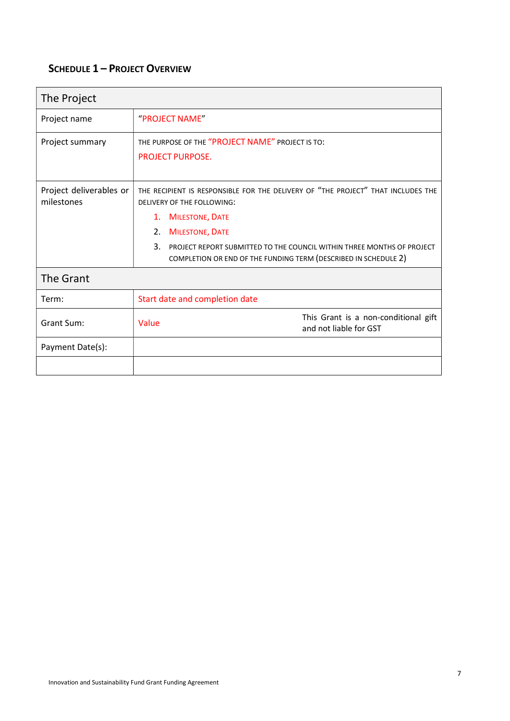# SCHEDULE 1 – PROJECT OVERVIEW

| The Project                           |                                                                                                                                                                                                                                                                                                                                               |  |  |  |
|---------------------------------------|-----------------------------------------------------------------------------------------------------------------------------------------------------------------------------------------------------------------------------------------------------------------------------------------------------------------------------------------------|--|--|--|
| Project name                          | "PROJECT NAME"                                                                                                                                                                                                                                                                                                                                |  |  |  |
| Project summary                       | THE PURPOSE OF THE "PROJECT NAME" PROJECT IS TO:<br><b>PROJECT PURPOSE.</b>                                                                                                                                                                                                                                                                   |  |  |  |
| Project deliverables or<br>milestones | THE RECIPIENT IS RESPONSIBLE FOR THE DELIVERY OF "THE PROJECT" THAT INCLUDES THE<br>DELIVERY OF THE FOLLOWING:<br><b>MILESTONE, DATE</b><br>$\mathbf{1}$ .<br><b>MILESTONE, DATE</b><br>2.<br>3.<br>PROJECT REPORT SUBMITTED TO THE COUNCIL WITHIN THREE MONTHS OF PROJECT<br>COMPLETION OR END OF THE FUNDING TERM (DESCRIBED IN SCHEDULE 2) |  |  |  |
| The Grant                             |                                                                                                                                                                                                                                                                                                                                               |  |  |  |
| Term:                                 | Start date and completion date                                                                                                                                                                                                                                                                                                                |  |  |  |
| Grant Sum:                            | This Grant is a non-conditional gift<br>Value<br>and not liable for GST                                                                                                                                                                                                                                                                       |  |  |  |
| Payment Date(s):                      |                                                                                                                                                                                                                                                                                                                                               |  |  |  |
|                                       |                                                                                                                                                                                                                                                                                                                                               |  |  |  |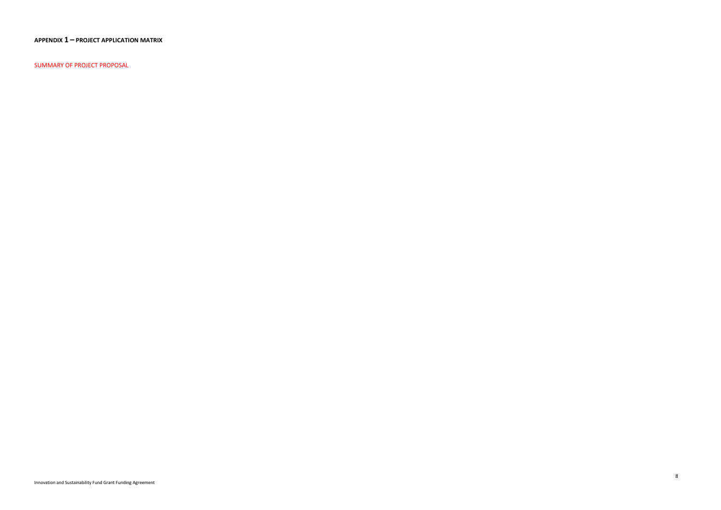APPENDIX 1 – PROJECT APPLICATION MATRIX

SUMMARY OF PROJECT PROPOSAL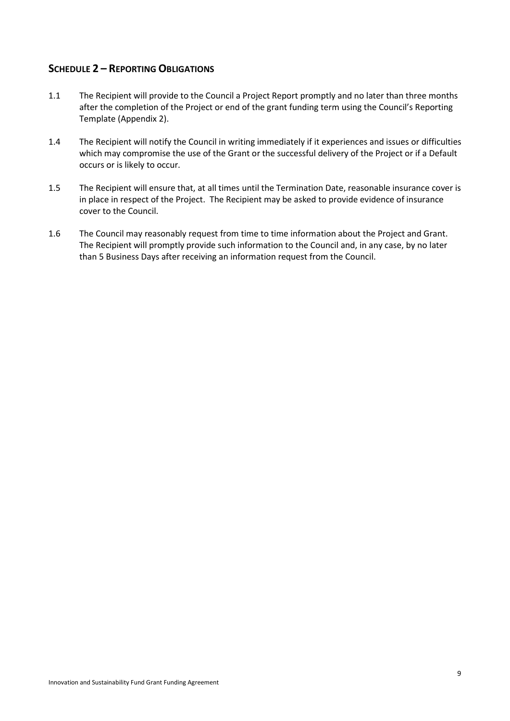## SCHEDULE 2 – REPORTING OBLIGATIONS

- 1.1 The Recipient will provide to the Council a Project Report promptly and no later than three months after the completion of the Project or end of the grant funding term using the Council's Reporting Template (Appendix 2).
- 1.4 The Recipient will notify the Council in writing immediately if it experiences and issues or difficulties which may compromise the use of the Grant or the successful delivery of the Project or if a Default occurs or is likely to occur.
- 1.5 The Recipient will ensure that, at all times until the Termination Date, reasonable insurance cover is in place in respect of the Project. The Recipient may be asked to provide evidence of insurance cover to the Council.
- 1.6 The Council may reasonably request from time to time information about the Project and Grant. The Recipient will promptly provide such information to the Council and, in any case, by no later than 5 Business Days after receiving an information request from the Council.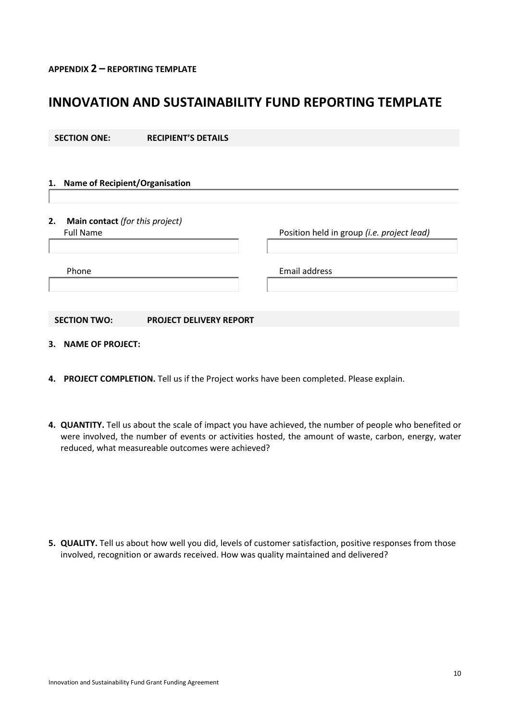# INNOVATION AND SUSTAINABILITY FUND REPORTING TEMPLATE

| <b>SECTION ONE:</b> | <b>RECIPIENT'S DETAILS</b> |
|---------------------|----------------------------|
|                     |                            |

|    | 1. Name of Recipient/Organisation                     |                                            |
|----|-------------------------------------------------------|--------------------------------------------|
| 2. | Main contact (for this project)<br><b>Full Name</b>   | Position held in group (i.e. project lead) |
|    | Phone                                                 | Email address                              |
|    | <b>SECTION TWO:</b><br><b>PROJECT DELIVERY REPORT</b> |                                            |

- 3. NAME OF PROJECT:
- 4. PROJECT COMPLETION. Tell us if the Project works have been completed. Please explain.
- 4. QUANTITY. Tell us about the scale of impact you have achieved, the number of people who benefited or were involved, the number of events or activities hosted, the amount of waste, carbon, energy, water reduced, what measureable outcomes were achieved?

5. QUALITY. Tell us about how well you did, levels of customer satisfaction, positive responses from those involved, recognition or awards received. How was quality maintained and delivered?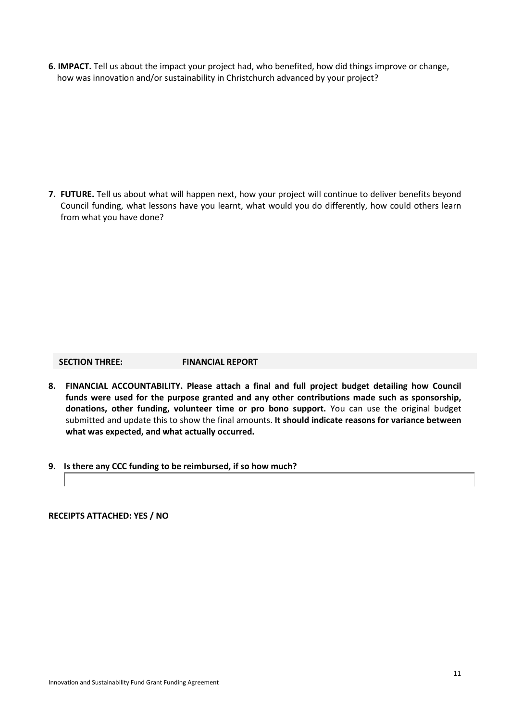6. IMPACT. Tell us about the impact your project had, who benefited, how did things improve or change, how was innovation and/or sustainability in Christchurch advanced by your project?

7. FUTURE. Tell us about what will happen next, how your project will continue to deliver benefits beyond Council funding, what lessons have you learnt, what would you do differently, how could others learn from what you have done?

SECTION THREE: FINANCIAL REPORT

- 8. FINANCIAL ACCOUNTABILITY. Please attach a final and full project budget detailing how Council funds were used for the purpose granted and any other contributions made such as sponsorship, donations, other funding, volunteer time or pro bono support. You can use the original budget submitted and update this to show the final amounts. It should indicate reasons for variance between what was expected, and what actually occurred.
- 9. Is there any CCC funding to be reimbursed, if so how much?

RECEIPTS ATTACHED: YES / NO